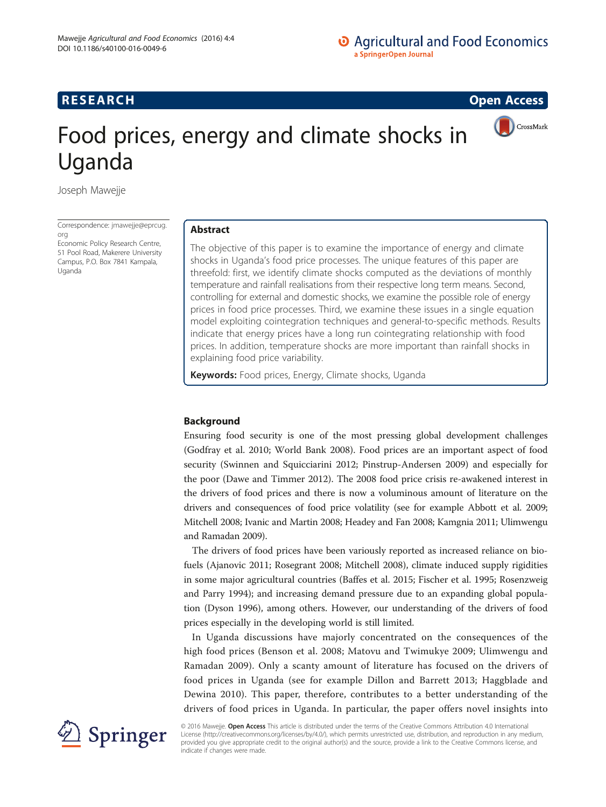# **RESEARCH RESEARCH CONSUMING ACCESS**

CrossMark

# Food prices, energy and climate shocks in Uganda

Joseph Mawejje

Correspondence: [jmawejje@eprcug.](mailto:jmawejje@eprcug.org) [org](mailto:jmawejje@eprcug.org)

Economic Policy Research Centre, 51 Pool Road, Makerere University Campus, P.O. Box 7841 Kampala, Uganda

# Abstract

The objective of this paper is to examine the importance of energy and climate shocks in Uganda's food price processes. The unique features of this paper are threefold: first, we identify climate shocks computed as the deviations of monthly temperature and rainfall realisations from their respective long term means. Second, controlling for external and domestic shocks, we examine the possible role of energy prices in food price processes. Third, we examine these issues in a single equation model exploiting cointegration techniques and general-to-specific methods. Results indicate that energy prices have a long run cointegrating relationship with food prices. In addition, temperature shocks are more important than rainfall shocks in explaining food price variability.

Keywords: Food prices, Energy, Climate shocks, Uganda

# Background

Ensuring food security is one of the most pressing global development challenges (Godfray et al. [2010](#page-16-0); World Bank [2008](#page--1-0)). Food prices are an important aspect of food security (Swinnen and Squicciarini [2012](#page--1-0); Pinstrup-Andersen [2009\)](#page-16-0) and especially for the poor (Dawe and Timmer [2012\)](#page-16-0). The 2008 food price crisis re-awakened interest in the drivers of food prices and there is now a voluminous amount of literature on the drivers and consequences of food price volatility (see for example Abbott et al. [2009](#page-16-0); Mitchell [2008;](#page-16-0) Ivanic and Martin [2008](#page-16-0); Headey and Fan [2008](#page-16-0); Kamgnia [2011;](#page-16-0) Ulimwengu and Ramadan [2009\)](#page--1-0).

The drivers of food prices have been variously reported as increased reliance on biofuels (Ajanovic [2011;](#page-16-0) Rosegrant [2008;](#page-16-0) Mitchell [2008](#page-16-0)), climate induced supply rigidities in some major agricultural countries (Baffes et al. [2015](#page-16-0); Fischer et al. [1995;](#page-16-0) Rosenzweig and Parry [1994\)](#page-16-0); and increasing demand pressure due to an expanding global population (Dyson [1996](#page-16-0)), among others. However, our understanding of the drivers of food prices especially in the developing world is still limited.

In Uganda discussions have majorly concentrated on the consequences of the high food prices (Benson et al. [2008](#page-16-0); Matovu and Twimukye [2009](#page-16-0); Ulimwengu and Ramadan [2009\)](#page--1-0). Only a scanty amount of literature has focused on the drivers of food prices in Uganda (see for example Dillon and Barrett [2013](#page-16-0); Haggblade and Dewina [2010](#page-16-0)). This paper, therefore, contributes to a better understanding of the drivers of food prices in Uganda. In particular, the paper offers novel insights into



© 2016 Mawejje. **Open Access** This article is distributed under the terms of the Creative Commons Attribution 4.0 International License [\(http://creativecommons.org/licenses/by/4.0/](http://creativecommons.org/licenses/by/4.0/)), which permits unrestricted use, distribution, and reproduction in any medium, provided you give appropriate credit to the original author(s) and the source, provide a link to the Creative Commons license, and indicate if changes were made.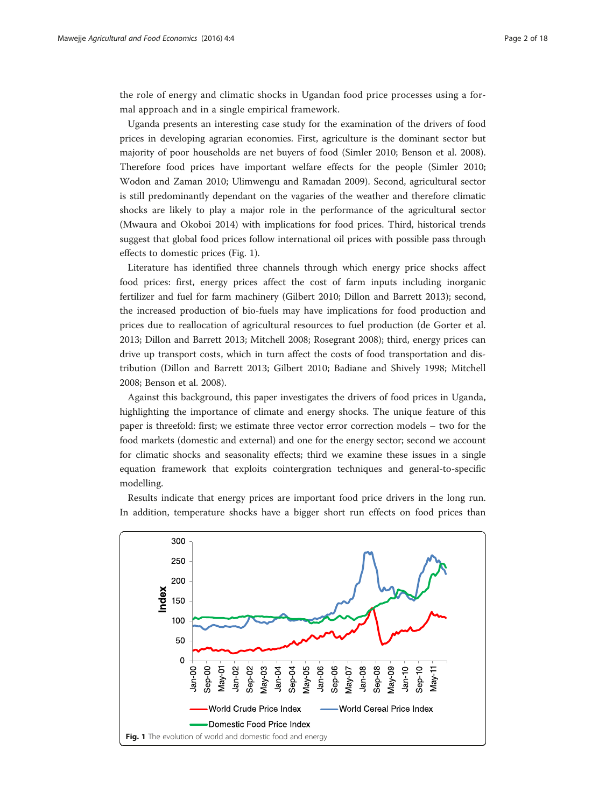the role of energy and climatic shocks in Ugandan food price processes using a formal approach and in a single empirical framework.

Uganda presents an interesting case study for the examination of the drivers of food prices in developing agrarian economies. First, agriculture is the dominant sector but majority of poor households are net buyers of food (Simler [2010](#page--1-0); Benson et al. [2008](#page-16-0)). Therefore food prices have important welfare effects for the people (Simler [2010](#page--1-0); Wodon and Zaman [2010](#page--1-0); Ulimwengu and Ramadan [2009\)](#page--1-0). Second, agricultural sector is still predominantly dependant on the vagaries of the weather and therefore climatic shocks are likely to play a major role in the performance of the agricultural sector (Mwaura and Okoboi [2014](#page-16-0)) with implications for food prices. Third, historical trends suggest that global food prices follow international oil prices with possible pass through effects to domestic prices (Fig. 1).

Literature has identified three channels through which energy price shocks affect food prices: first, energy prices affect the cost of farm inputs including inorganic fertilizer and fuel for farm machinery (Gilbert [2010;](#page-16-0) Dillon and Barrett [2013](#page-16-0)); second, the increased production of bio-fuels may have implications for food production and prices due to reallocation of agricultural resources to fuel production (de Gorter et al. [2013](#page-16-0); Dillon and Barrett [2013;](#page-16-0) Mitchell [2008](#page-16-0); Rosegrant [2008](#page-16-0)); third, energy prices can drive up transport costs, which in turn affect the costs of food transportation and distribution (Dillon and Barrett [2013;](#page-16-0) Gilbert [2010;](#page-16-0) Badiane and Shively [1998](#page-16-0); Mitchell [2008](#page-16-0); Benson et al. [2008](#page-16-0)).

Against this background, this paper investigates the drivers of food prices in Uganda, highlighting the importance of climate and energy shocks. The unique feature of this paper is threefold: first; we estimate three vector error correction models – two for the food markets (domestic and external) and one for the energy sector; second we account for climatic shocks and seasonality effects; third we examine these issues in a single equation framework that exploits cointergration techniques and general-to-specific modelling.

Results indicate that energy prices are important food price drivers in the long run. In addition, temperature shocks have a bigger short run effects on food prices than

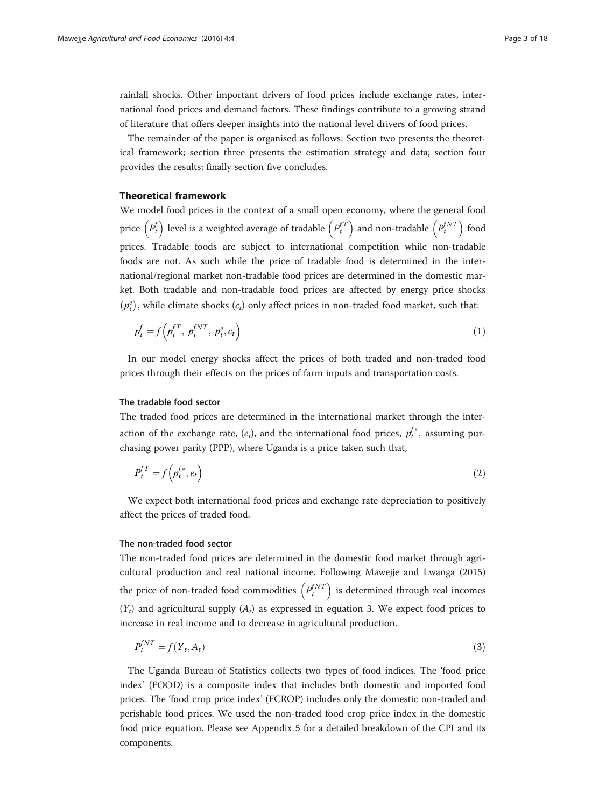<span id="page-2-0"></span>rainfall shocks. Other important drivers of food prices include exchange rates, international food prices and demand factors. These findings contribute to a growing strand of literature that offers deeper insights into the national level drivers of food prices.

The remainder of the paper is organised as follows: Section two presents the theoretical framework; section three presents the estimation strategy and data; section four provides the results; finally section five concludes.

#### Theoretical framework

We model food prices in the context of a small open economy, where the general food price  $\left(P_t^f\right)$  level is a weighted average of tradable  $\left(P_t^{fT}\right)$  and non-tradable  $\left(P_t^{fNT}\right)$  food prices. Tradable foods are subject to international competition while non-tradable foods are not. As such while the price of tradable food is determined in the international/regional market non-tradable food prices are determined in the domestic market. Both tradable and non-tradable food prices are affected by energy price shocks  $(p_t^e)$ , while climate shocks  $(c_t)$  only affect prices in non-traded food market, such that:

$$
p_t^f = f\left(p_t^{fT}, p_t^{fNT}, p_t^e, c_t\right) \tag{1}
$$

In our model energy shocks affect the prices of both traded and non-traded food prices through their effects on the prices of farm inputs and transportation costs.

#### The tradable food sector

The traded food prices are determined in the international market through the interaction of the exchange rate,  $(e_t)$ , and the international food prices,  $p_t^{f*}$ , assuming purchasing power parity (PPP), where Uganda is a price taker, such that,

$$
P_t^{f} = f\left(p_t^{f*}, e_t\right) \tag{2}
$$

We expect both international food prices and exchange rate depreciation to positively affect the prices of traded food.

### The non-traded food sector

The non-traded food prices are determined in the domestic food market through agricultural production and real national income. Following Mawejje and Lwanga ([2015](#page-16-0)) the price of non-traded food commodities  $\left(P_t^{INT}\right)$  is determined through real incomes  $(Y_t)$  and agricultural supply  $(A_t)$  as expressed in equation 3. We expect food prices to increase in real income and to decrease in agricultural production.

$$
P_t^{INT} = f(Y_t, A_t) \tag{3}
$$

The Uganda Bureau of Statistics collects two types of food indices. The 'food price index' (FOOD) is a composite index that includes both domestic and imported food prices. The 'food crop price index' (FCROP) includes only the domestic non-traded and perishable food prices. We used the non-traded food crop price index in the domestic food price equation. Please see [Appendix 5](#page-15-0) for a detailed breakdown of the CPI and its components.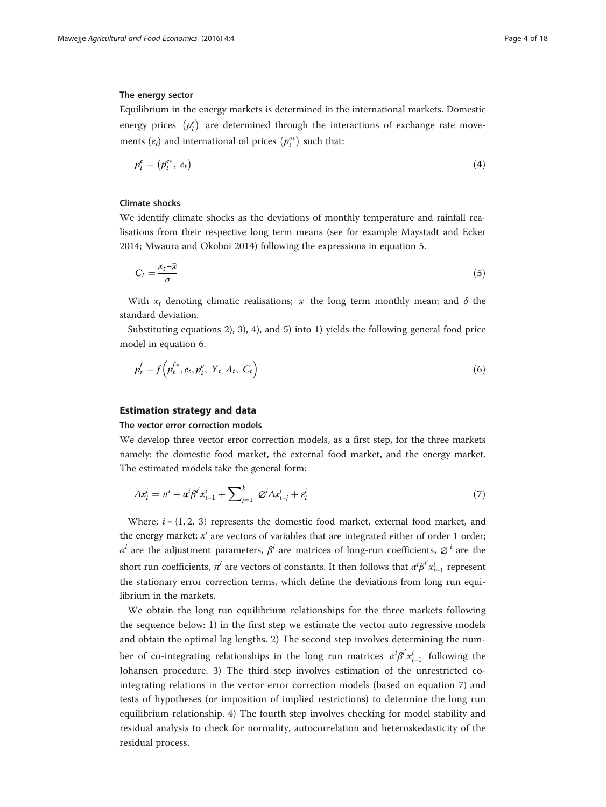#### The energy sector

Equilibrium in the energy markets is determined in the international markets. Domestic energy prices  $\left( p_{t}^{e}\right)$  are determined through the interactions of exchange rate movements  $(e_t)$  and international oil prices  $\left(p_t^{e*}\right)$  such that:

$$
p_t^e = (p_t^{e*}, e_t) \tag{4}
$$

# Climate shocks

We identify climate shocks as the deviations of monthly temperature and rainfall realisations from their respective long term means (see for example Maystadt and Ecker [2014](#page-16-0); Mwaura and Okoboi [2014](#page-16-0)) following the expressions in equation 5.

$$
C_t = \frac{x_t - \bar{x}}{\sigma} \tag{5}
$$

With  $x_t$  denoting climatic realisations;  $\bar{x}$  the long term monthly mean; and  $\delta$  the standard deviation.

Substituting equations [2](#page-2-0)), [3\)](#page-2-0), 4), and 5) into 1) yields the following general food price model in equation 6.

$$
p_t^f = f\left(p_t^{f*}, e_t, p_t^e, Y_{t}, A_t, C_t\right) \tag{6}
$$

# Estimation strategy and data

# The vector error correction models

We develop three vector error correction models, as a first step, for the three markets namely: the domestic food market, the external food market, and the energy market. The estimated models take the general form:

$$
\Delta x_t^i = \pi^i + \alpha^i \beta^i x_{t-1}^i + \sum_{j=1}^k \varnothing^i \Delta x_{t-j}^i + \varepsilon_t^i \tag{7}
$$

Where;  $i = \{1, 2, 3\}$  represents the domestic food market, external food market, and the energy market;  $x^{i}$  are vectors of variables that are integrated either of order 1 order;  $\alpha^{i}$  are the adjustment parameters,  $\beta^{i}$  are matrices of long-run coefficients,  $\varnothing^{i}$  are the short run coefficients,  $\pi^i$  are vectors of constants. It then follows that  $\alpha^i\beta^i x^i_{t-1}$  represent the stationary error correction terms, which define the deviations from long run equilibrium in the markets.

We obtain the long run equilibrium relationships for the three markets following the sequence below: 1) in the first step we estimate the vector auto regressive models and obtain the optimal lag lengths. 2) The second step involves determining the number of co-integrating relationships in the long run matrices  $\alpha^i \beta^i x_{t-1}^i$  following the Johansen procedure. 3) The third step involves estimation of the unrestricted cointegrating relations in the vector error correction models (based on equation 7) and tests of hypotheses (or imposition of implied restrictions) to determine the long run equilibrium relationship. 4) The fourth step involves checking for model stability and residual analysis to check for normality, autocorrelation and heteroskedasticity of the residual process.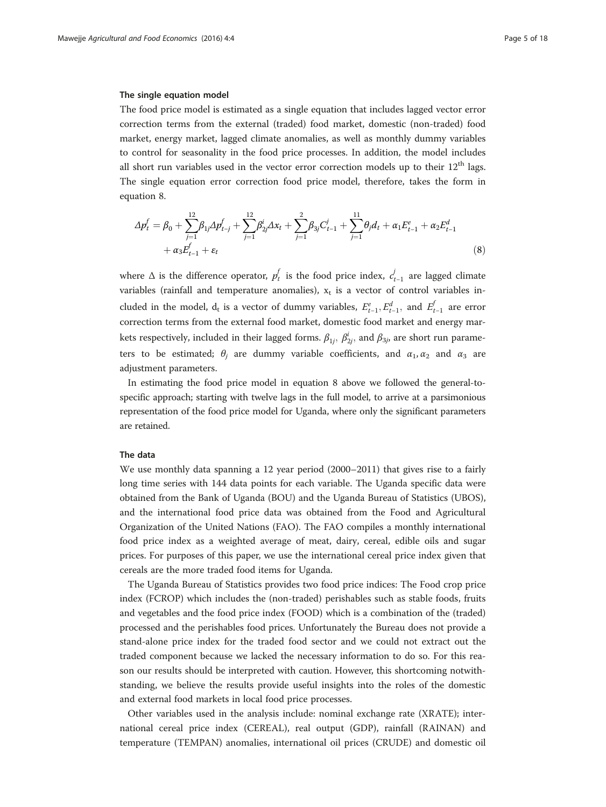#### The single equation model

The food price model is estimated as a single equation that includes lagged vector error correction terms from the external (traded) food market, domestic (non-traded) food market, energy market, lagged climate anomalies, as well as monthly dummy variables to control for seasonality in the food price processes. In addition, the model includes all short run variables used in the vector error correction models up to their  $12<sup>th</sup>$  lags. The single equation error correction food price model, therefore, takes the form in equation 8.

$$
\Delta p_t^f = \beta_0 + \sum_{j=1}^{12} \beta_{1j} \Delta p_{t-j}^f + \sum_{j=1}^{12} \beta_{2j}^i \Delta x_t + \sum_{j=1}^2 \beta_{3j} C_{t-1}^j + \sum_{j=1}^{11} \theta_j d_t + \alpha_1 E_{t-1}^e + \alpha_2 E_{t-1}^d + \alpha_3 E_{t-1}^f + \varepsilon_t
$$
\n(8)

where  $\Delta$  is the difference operator,  $p_t^f$  is the food price index,  $c_{t-1}^j$  are lagged climate variables (rainfall and temperature anomalies),  $x_t$  is a vector of control variables included in the model,  $d_t$  is a vector of dummy variables,  $E_{t-1}^e, E_{t-1}^d$ , and  $E_{t-1}^f$  are error correction terms from the external food market, domestic food market and energy markets respectively, included in their lagged forms.  $\beta_{1j},\ \beta^i_{2j},$  and  $\beta_{3j}$ , are short run parameters to be estimated;  $\theta_j$  are dummy variable coefficients, and  $\alpha_1, \alpha_2$  and  $\alpha_3$  are adjustment parameters.

In estimating the food price model in equation 8 above we followed the general-tospecific approach; starting with twelve lags in the full model, to arrive at a parsimonious representation of the food price model for Uganda, where only the significant parameters are retained.

#### The data

We use monthly data spanning a 12 year period (2000–2011) that gives rise to a fairly long time series with 144 data points for each variable. The Uganda specific data were obtained from the Bank of Uganda (BOU) and the Uganda Bureau of Statistics (UBOS), and the international food price data was obtained from the Food and Agricultural Organization of the United Nations (FAO). The FAO compiles a monthly international food price index as a weighted average of meat, dairy, cereal, edible oils and sugar prices. For purposes of this paper, we use the international cereal price index given that cereals are the more traded food items for Uganda.

The Uganda Bureau of Statistics provides two food price indices: The Food crop price index (FCROP) which includes the (non-traded) perishables such as stable foods, fruits and vegetables and the food price index (FOOD) which is a combination of the (traded) processed and the perishables food prices. Unfortunately the Bureau does not provide a stand-alone price index for the traded food sector and we could not extract out the traded component because we lacked the necessary information to do so. For this reason our results should be interpreted with caution. However, this shortcoming notwithstanding, we believe the results provide useful insights into the roles of the domestic and external food markets in local food price processes.

Other variables used in the analysis include: nominal exchange rate (XRATE); international cereal price index (CEREAL), real output (GDP), rainfall (RAINAN) and temperature (TEMPAN) anomalies, international oil prices (CRUDE) and domestic oil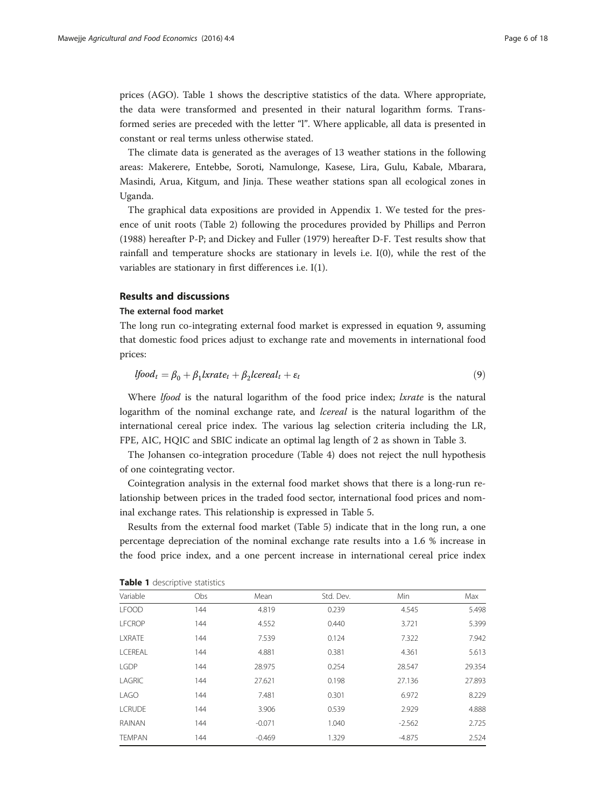prices (AGO). Table 1 shows the descriptive statistics of the data. Where appropriate, the data were transformed and presented in their natural logarithm forms. Transformed series are preceded with the letter "l". Where applicable, all data is presented in constant or real terms unless otherwise stated.

The climate data is generated as the averages of 13 weather stations in the following areas: Makerere, Entebbe, Soroti, Namulonge, Kasese, Lira, Gulu, Kabale, Mbarara, Masindi, Arua, Kitgum, and Jinja. These weather stations span all ecological zones in Uganda.

The graphical data expositions are provided in [Appendix 1](#page-12-0). We tested for the presence of unit roots (Table [2\)](#page-6-0) following the procedures provided by Phillips and Perron ([1988](#page-16-0)) hereafter P-P; and Dickey and Fuller [\(1979](#page-16-0)) hereafter D-F. Test results show that rainfall and temperature shocks are stationary in levels i.e. I(0), while the rest of the variables are stationary in first differences i.e. I(1).

#### Results and discussions

### The external food market

The long run co-integrating external food market is expressed in equation 9, assuming that domestic food prices adjust to exchange rate and movements in international food prices:

$$
lfoodt = \beta_0 + \beta_1 lxrate_t + \beta_2 lcereal_t + \varepsilon_t
$$
\n(9)

Where *lfood* is the natural logarithm of the food price index; *lxrate* is the natural logarithm of the nominal exchange rate, and *lcereal* is the natural logarithm of the international cereal price index. The various lag selection criteria including the LR, FPE, AIC, HQIC and SBIC indicate an optimal lag length of 2 as shown in Table [3](#page-6-0).

The Johansen co-integration procedure (Table [4](#page-7-0)) does not reject the null hypothesis of one cointegrating vector.

Cointegration analysis in the external food market shows that there is a long-run relationship between prices in the traded food sector, international food prices and nominal exchange rates. This relationship is expressed in Table [5.](#page-7-0)

Results from the external food market (Table [5\)](#page-7-0) indicate that in the long run, a one percentage depreciation of the nominal exchange rate results into a 1.6 % increase in the food price index, and a one percent increase in international cereal price index

| Variable      | Obs | Mean     | Std. Dev. | Min      | Max    |
|---------------|-----|----------|-----------|----------|--------|
| <b>LFOOD</b>  | 144 | 4.819    | 0.239     | 4.545    | 5.498  |
| <b>LFCROP</b> | 144 | 4.552    | 0.440     | 3.721    | 5.399  |
| <b>LXRATE</b> | 144 | 7.539    | 0.124     | 7.322    | 7.942  |
| LCEREAL       | 144 | 4.881    | 0.381     | 4.361    | 5.613  |
| <b>LGDP</b>   | 144 | 28.975   | 0.254     | 28.547   | 29.354 |
| LAGRIC        | 144 | 27.621   | 0.198     | 27.136   | 27.893 |
| LAGO          | 144 | 7.481    | 0.301     | 6.972    | 8.229  |
| <b>LCRUDE</b> | 144 | 3.906    | 0.539     | 2.929    | 4.888  |
| <b>RAINAN</b> | 144 | $-0.071$ | 1.040     | $-2.562$ | 2.725  |
| <b>TEMPAN</b> | 144 | $-0.469$ | 1.329     | $-4.875$ | 2.524  |

# Table 1 descriptive statistics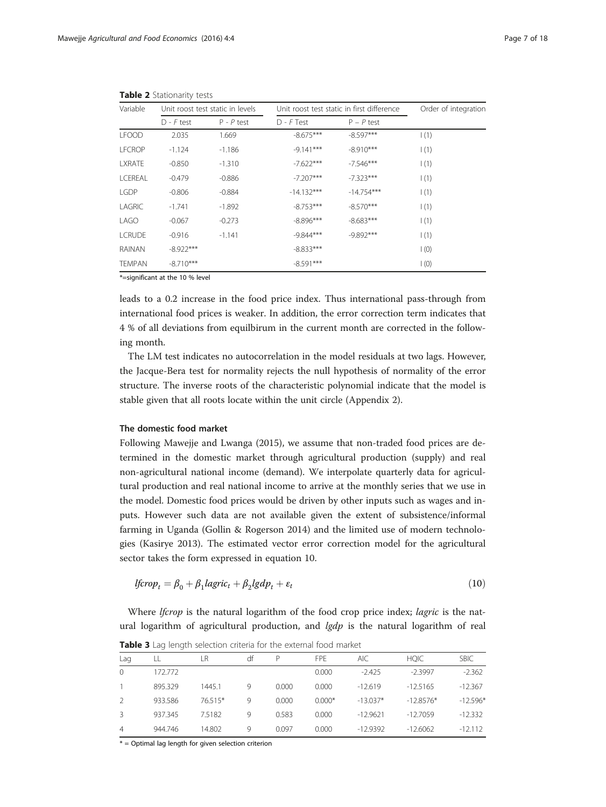| Variable       |              | Unit roost test static in levels |              | Unit roost test static in first difference | Order of integration |  |
|----------------|--------------|----------------------------------|--------------|--------------------------------------------|----------------------|--|
|                | $D - F$ test | $P - P$ test                     | $D - F$ Test | $P - P$ test                               |                      |  |
| <b>LFOOD</b>   | 2.035        | 1.669                            | $-8.675***$  | $-8.597***$                                | 1(1)                 |  |
| <b>LFCROP</b>  | $-1.124$     | $-1.186$                         | $-9.141***$  | $-8.910***$                                | 1(1)                 |  |
| <b>LXRATE</b>  | $-0.850$     | $-1.310$                         | $-7.622***$  | $-7.546***$                                | 1(1)                 |  |
| <b>LCEREAL</b> | $-0.479$     | $-0.886$                         | $-7.207***$  | $-7.323***$                                | $\vert$ (1)          |  |
| <b>LGDP</b>    | $-0.806$     | $-0.884$                         | $-14.132***$ | $-14.754***$                               | 1(1)                 |  |
| LAGRIC         | $-1.741$     | $-1.892$                         | $-8.753***$  | $-8.570***$                                | 1(1)                 |  |
| LAGO           | $-0.067$     | $-0.273$                         | $-8.896***$  | $-8.683***$                                | 1(1)                 |  |
| <b>LCRUDE</b>  | $-0.916$     | $-1.141$                         | $-9.844***$  | $-9.892***$                                | 1(1)                 |  |
| RAINAN         | $-8.922***$  |                                  | $-8.833***$  |                                            | $\vert$ (0)          |  |
| <b>TEMPAN</b>  | $-8.710***$  |                                  | $-8.591***$  |                                            | $\mathsf{I}(0)$      |  |

<span id="page-6-0"></span>Table 2 Stationarity tests

\*=significant at the 10 % level

leads to a 0.2 increase in the food price index. Thus international pass-through from international food prices is weaker. In addition, the error correction term indicates that 4 % of all deviations from equilbirum in the current month are corrected in the following month.

The LM test indicates no autocorrelation in the model residuals at two lags. However, the Jacque-Bera test for normality rejects the null hypothesis of normality of the error structure. The inverse roots of the characteristic polynomial indicate that the model is stable given that all roots locate within the unit circle ([Appendix 2\)](#page-13-0).

### The domestic food market

Following Mawejje and Lwanga ([2015](#page-16-0)), we assume that non-traded food prices are determined in the domestic market through agricultural production (supply) and real non-agricultural national income (demand). We interpolate quarterly data for agricultural production and real national income to arrive at the monthly series that we use in the model. Domestic food prices would be driven by other inputs such as wages and inputs. However such data are not available given the extent of subsistence/informal farming in Uganda (Gollin & Rogerson [2014](#page-16-0)) and the limited use of modern technologies (Kasirye [2013](#page-16-0)). The estimated vector error correction model for the agricultural sector takes the form expressed in equation 10.

$$
lforop_t = \beta_0 + \beta_1 lagric_t + \beta_2lgdp_t + \varepsilon_t
$$
\n(10)

Where *lfcrop* is the natural logarithm of the food crop price index; *lagric* is the natural logarithm of agricultural production, and  $lgdp$  is the natural logarithm of real

|          |         | <b>TWATE Department of the contract of the external local manner</b> |    |       |          |            |             |             |
|----------|---------|----------------------------------------------------------------------|----|-------|----------|------------|-------------|-------------|
| Lag      |         | LR                                                                   | df | P     | FPF      | AIC.       | <b>HOIC</b> | <b>SBIC</b> |
| $\Omega$ | 172.772 |                                                                      |    |       | 0.000    | $-2.425$   | $-2.3997$   | $-2.362$    |
|          | 895.329 | 1445.1                                                               | 9  | 0.000 | 0.000    | $-12.619$  | $-12.5165$  | $-12.367$   |
|          | 933.586 | 76.515*                                                              | 9  | 0.000 | $0.000*$ | $-13.037*$ | $-12.8576*$ | $-12.596*$  |
|          | 937.345 | 7.5182                                                               | 9  | 0.583 | 0.000    | $-12.9621$ | $-12.7059$  | $-12.332$   |
| 4        | 944.746 | 14.802                                                               | 9  | 0.097 | 0.000    | $-12.9392$ | $-12,6062$  | $-12.112$   |

Table 3 Lag length selection criteria for the external food market

\* = Optimal lag length for given selection criterion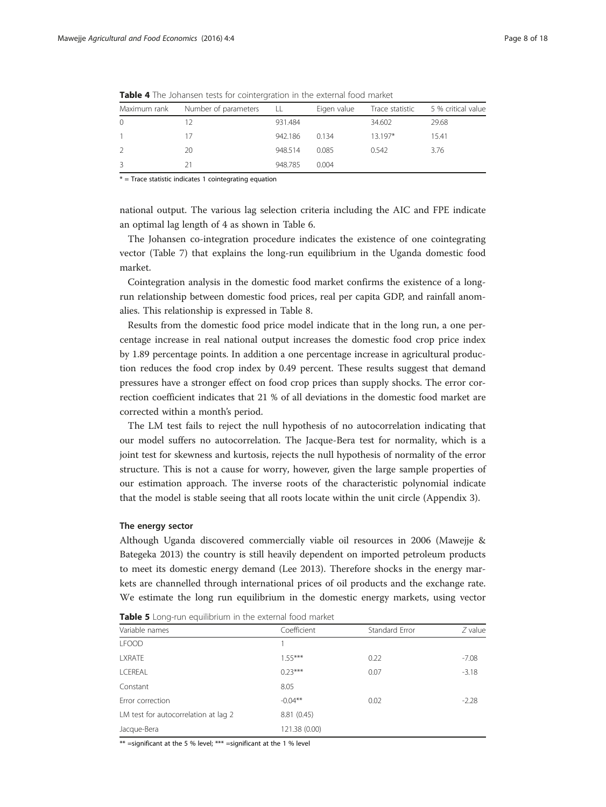| Maximum rank  | Number of parameters | . LL    | Eigen value |         | Trace statistic 5 % critical value |
|---------------|----------------------|---------|-------------|---------|------------------------------------|
| $\Omega$      |                      | 931.484 |             | 34.602  | 29.68                              |
|               | 17                   | 942.186 | 0 1 3 4     | 13 197* | 15.41                              |
| $\mathcal{L}$ | 20                   | 948.514 | 0.085       | 0.542   | 3.76                               |
| 3             | 21                   | 948.785 | 0.004       |         |                                    |

<span id="page-7-0"></span>**Table 4** The Johansen tests for cointergration in the external food market

 $*$  = Trace statistic indicates 1 cointegrating equation

national output. The various lag selection criteria including the AIC and FPE indicate an optimal lag length of 4 as shown in Table [6.](#page-8-0)

The Johansen co-integration procedure indicates the existence of one cointegrating vector (Table [7](#page-8-0)) that explains the long-run equilibrium in the Uganda domestic food market.

Cointegration analysis in the domestic food market confirms the existence of a longrun relationship between domestic food prices, real per capita GDP, and rainfall anomalies. This relationship is expressed in Table [8](#page-9-0).

Results from the domestic food price model indicate that in the long run, a one percentage increase in real national output increases the domestic food crop price index by 1.89 percentage points. In addition a one percentage increase in agricultural production reduces the food crop index by 0.49 percent. These results suggest that demand pressures have a stronger effect on food crop prices than supply shocks. The error correction coefficient indicates that 21 % of all deviations in the domestic food market are corrected within a month's period.

The LM test fails to reject the null hypothesis of no autocorrelation indicating that our model suffers no autocorrelation. The Jacque-Bera test for normality, which is a joint test for skewness and kurtosis, rejects the null hypothesis of normality of the error structure. This is not a cause for worry, however, given the large sample properties of our estimation approach. The inverse roots of the characteristic polynomial indicate that the model is stable seeing that all roots locate within the unit circle [\(Appendix 3\)](#page-14-0).

# The energy sector

Although Uganda discovered commercially viable oil resources in 2006 (Mawejje & Bategeka [2013](#page-16-0)) the country is still heavily dependent on imported petroleum products to meet its domestic energy demand (Lee [2013](#page-16-0)). Therefore shocks in the energy markets are channelled through international prices of oil products and the exchange rate. We estimate the long run equilibrium in the domestic energy markets, using vector

| Variable names                       | Coefficient   | Standard Error | $Z$ value |
|--------------------------------------|---------------|----------------|-----------|
| <b>LFOOD</b>                         |               |                |           |
| <b>LXRATE</b>                        | $1.55***$     | 0.22           | $-7.08$   |
| <b>LCEREAL</b>                       | $0.23***$     | 0.07           | $-3.18$   |
| Constant                             | 8.05          |                |           |
| Error correction                     | $-0.04***$    | 0.02           | $-2.28$   |
| LM test for autocorrelation at lag 2 | 8.81 (0.45)   |                |           |
| Jacque-Bera                          | 121.38 (0.00) |                |           |

Table 5 Long-run equilibrium in the external food market

\*\* =significant at the 5 % level; \*\*\* =significant at the 1 % level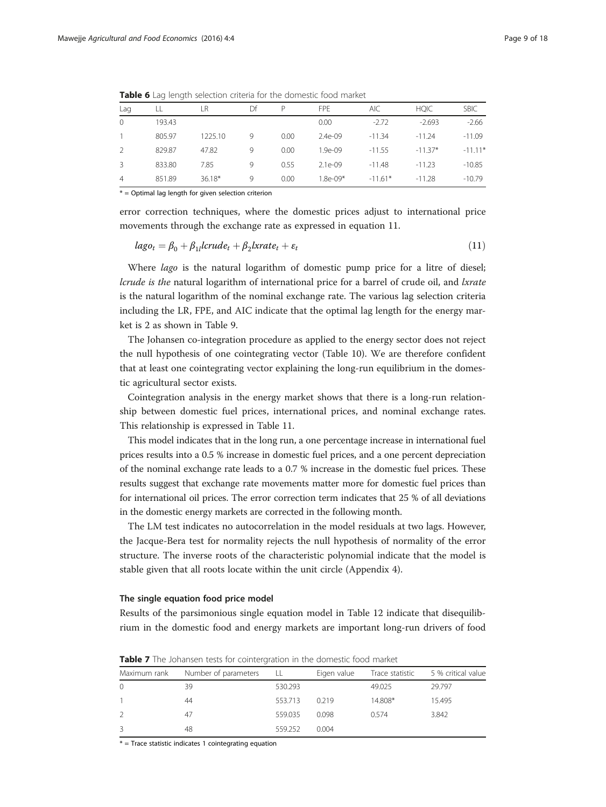| Lag            | LL     | LR       | Df           | P    | FPF        | AIC.      | <b>HQIC</b> | <b>SBIC</b> |
|----------------|--------|----------|--------------|------|------------|-----------|-------------|-------------|
| $\Omega$       | 193.43 |          |              |      | 0.00       | $-2.72$   | $-2.693$    | $-2.66$     |
|                | 805.97 | 1225.10  | 9            | 0.00 | $2.4e-09$  | $-11.34$  | $-11.24$    | $-11.09$    |
| $\mathcal{P}$  | 829.87 | 47.82    | 9            | 0.00 | $1.9e-09$  | $-11.55$  | $-11.37*$   | $-11.11*$   |
| 3              | 833.80 | 7.85     | 9            | 0.55 | $2.1e-09$  | $-11.48$  | $-11.23$    | $-10.85$    |
| $\overline{4}$ | 851.89 | $36.18*$ | $\mathsf{Q}$ | 0.00 | $1.8e-09*$ | $-11.61*$ | $-11.28$    | $-10.79$    |

<span id="page-8-0"></span>Table 6 Lag length selection criteria for the domestic food market

\* = Optimal lag length for given selection criterion

error correction techniques, where the domestic prices adjust to international price movements through the exchange rate as expressed in equation 11.

$$
lago_t = \beta_0 + \beta_{1l}lcrude_t + \beta_2lxrate_t + \varepsilon_t
$$
\n(11)

Where *lago* is the natural logarithm of domestic pump price for a litre of diesel; lcrude is the natural logarithm of international price for a barrel of crude oil, and lxrate is the natural logarithm of the nominal exchange rate. The various lag selection criteria including the LR, FPE, and AIC indicate that the optimal lag length for the energy market is 2 as shown in Table [9.](#page-9-0)

The Johansen co-integration procedure as applied to the energy sector does not reject the null hypothesis of one cointegrating vector (Table [10](#page-10-0)). We are therefore confident that at least one cointegrating vector explaining the long-run equilibrium in the domestic agricultural sector exists.

Cointegration analysis in the energy market shows that there is a long-run relationship between domestic fuel prices, international prices, and nominal exchange rates. This relationship is expressed in Table [11](#page-10-0).

This model indicates that in the long run, a one percentage increase in international fuel prices results into a 0.5 % increase in domestic fuel prices, and a one percent depreciation of the nominal exchange rate leads to a 0.7 % increase in the domestic fuel prices. These results suggest that exchange rate movements matter more for domestic fuel prices than for international oil prices. The error correction term indicates that 25 % of all deviations in the domestic energy markets are corrected in the following month.

The LM test indicates no autocorrelation in the model residuals at two lags. However, the Jacque-Bera test for normality rejects the null hypothesis of normality of the error structure. The inverse roots of the characteristic polynomial indicate that the model is stable given that all roots locate within the unit circle ([Appendix 4\)](#page-15-0).

#### The single equation food price model

Results of the parsimonious single equation model in Table [12](#page-11-0) indicate that disequilibrium in the domestic food and energy markets are important long-run drivers of food

| Maximum rank  | Number of parameters | LL      | Eigen value | Trace statistic | 5 % critical value |
|---------------|----------------------|---------|-------------|-----------------|--------------------|
| $\Omega$      | 39                   | 530.293 |             | 49.025          | 29.797             |
|               | 44                   | 553.713 | 0.219       | 14.808*         | 15.495             |
| $\mathcal{L}$ | 47                   | 559.035 | 0.098       | 0.574           | 3.842              |
| 3             | 48                   | 559.252 | 0.004       |                 |                    |

Table 7 The Johansen tests for cointergration in the domestic food market

 $*$  = Trace statistic indicates 1 cointegrating equation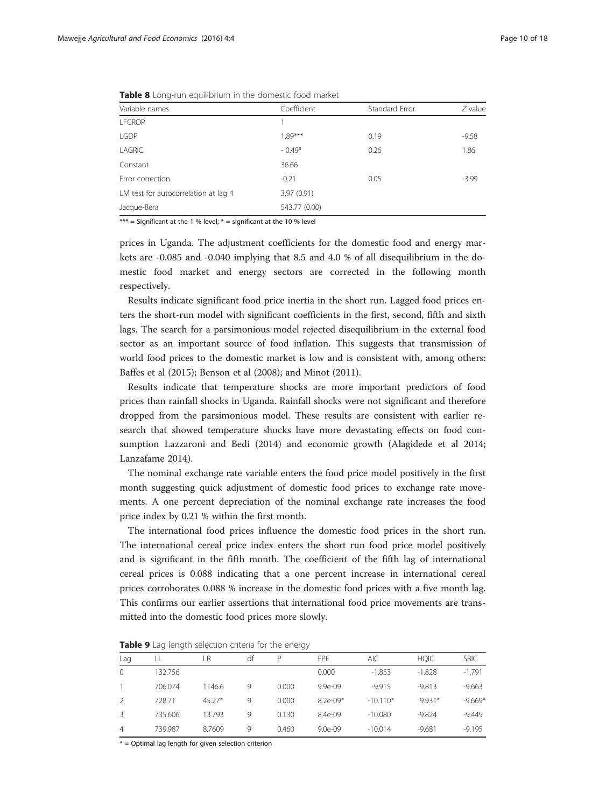| Variable names   | Coefficient | Standard Error | $Z$ value |
|------------------|-------------|----------------|-----------|
| <b>LFCROP</b>    |             |                |           |
| <b>LGDP</b>      | $1.89***$   | 0.19           | $-9.58$   |
| LAGRIC           | $-0.49*$    | 0.26           | 1.86      |
| Constant         | 36.66       |                |           |
| Error correction | $-0.21$     | 0.05           | $-3.99$   |

<span id="page-9-0"></span>Table 8 Long-run equilibrium in the domestic food market

Jacque-Bera 543.77 (0.00) \*\*\* = Significant at the 1 % level;  $*$  = significant at the 10 % level

LM test for autocorrelation at lag 4 3.97 (0.91)

prices in Uganda. The adjustment coefficients for the domestic food and energy markets are -0.085 and -0.040 implying that 8.5 and 4.0 % of all disequilibrium in the domestic food market and energy sectors are corrected in the following month respectively.

Results indicate significant food price inertia in the short run. Lagged food prices enters the short-run model with significant coefficients in the first, second, fifth and sixth lags. The search for a parsimonious model rejected disequilibrium in the external food sector as an important source of food inflation. This suggests that transmission of world food prices to the domestic market is low and is consistent with, among others: Baffes et al [\(2015\)](#page-16-0); Benson et al ([2008](#page-16-0)); and Minot [\(2011\)](#page-16-0).

Results indicate that temperature shocks are more important predictors of food prices than rainfall shocks in Uganda. Rainfall shocks were not significant and therefore dropped from the parsimonious model. These results are consistent with earlier research that showed temperature shocks have more devastating effects on food consumption Lazzaroni and Bedi [\(2014\)](#page-16-0) and economic growth (Alagidede et al [2014](#page-16-0); Lanzafame [2014](#page-16-0)).

The nominal exchange rate variable enters the food price model positively in the first month suggesting quick adjustment of domestic food prices to exchange rate movements. A one percent depreciation of the nominal exchange rate increases the food price index by 0.21 % within the first month.

The international food prices influence the domestic food prices in the short run. The international cereal price index enters the short run food price model positively and is significant in the fifth month. The coefficient of the fifth lag of international cereal prices is 0.088 indicating that a one percent increase in international cereal prices corroborates 0.088 % increase in the domestic food prices with a five month lag. This confirms our earlier assertions that international food price movements are transmitted into the domestic food prices more slowly.

Table 9 Lag length selection criteria for the energy

|                | $\tilde{\phantom{a}}$ |          |    | $\tilde{\phantom{a}}$ |            |            |             |             |
|----------------|-----------------------|----------|----|-----------------------|------------|------------|-------------|-------------|
| Lag            |                       | LR       | df | D                     | <b>FPF</b> | <b>AIC</b> | <b>HOIC</b> | <b>SBIC</b> |
| $\Omega$       | 132.756               |          |    |                       | 0.000      | $-1.853$   | $-1.828$    | $-1.791$    |
|                | 706.074               | 1146.6   | 9  | 0.000                 | $9.9e-09$  | $-9.915$   | $-9.813$    | $-9.663$    |
|                | 728.71                | $45.27*$ | Q  | 0.000                 | $8.2e-09*$ | $-10.110*$ | 9.931*      | $-9.669*$   |
|                | 735.606               | 13.793   | 9  | 0.130                 | $8.4e-09$  | $-10.080$  | $-9.824$    | $-9.449$    |
| $\overline{4}$ | 739.987               | 8.7609   | 9  | 0.460                 | $9.0e-09$  | $-10.014$  | $-9.681$    | $-9.195$    |

\* = Optimal lag length for given selection criterion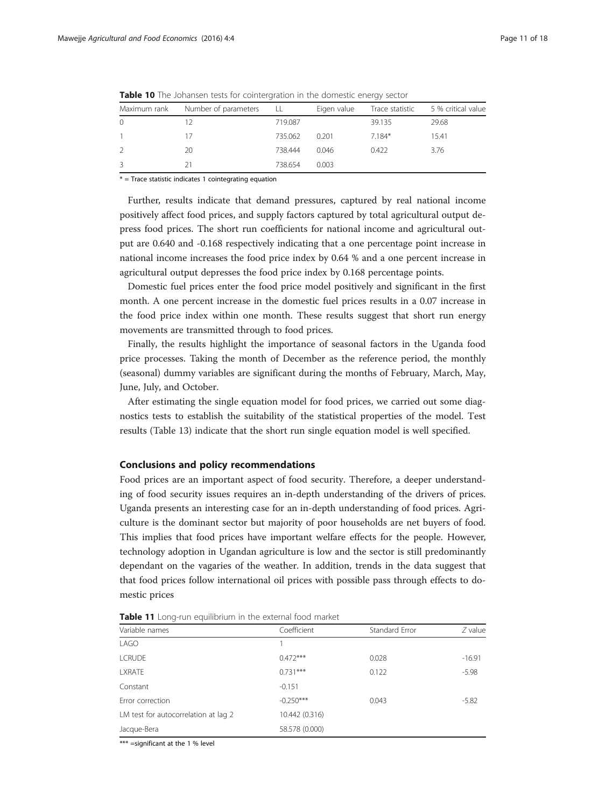| Maximum rank  | Number of parameters | . LL    | Eigen value | Trace statistic | 5 % critical value |
|---------------|----------------------|---------|-------------|-----------------|--------------------|
| $\Omega$      | 12                   | 719.087 |             | 39.135          | 29.68              |
|               | 17                   | 735.062 | 0.201       | 7.184*          | 15.41              |
| $\mathcal{L}$ | 20                   | 738.444 | 0.046       | 0.422           | 3.76               |
| 3             |                      | 738.654 | 0.003       |                 |                    |

<span id="page-10-0"></span>**Table 10** The Johansen tests for cointergration in the domestic energy sector

 $*$  = Trace statistic indicates 1 cointegrating equation

Further, results indicate that demand pressures, captured by real national income positively affect food prices, and supply factors captured by total agricultural output depress food prices. The short run coefficients for national income and agricultural output are 0.640 and -0.168 respectively indicating that a one percentage point increase in national income increases the food price index by 0.64 % and a one percent increase in agricultural output depresses the food price index by 0.168 percentage points.

Domestic fuel prices enter the food price model positively and significant in the first month. A one percent increase in the domestic fuel prices results in a 0.07 increase in the food price index within one month. These results suggest that short run energy movements are transmitted through to food prices.

Finally, the results highlight the importance of seasonal factors in the Uganda food price processes. Taking the month of December as the reference period, the monthly (seasonal) dummy variables are significant during the months of February, March, May, June, July, and October.

After estimating the single equation model for food prices, we carried out some diagnostics tests to establish the suitability of the statistical properties of the model. Test results (Table [13](#page-12-0)) indicate that the short run single equation model is well specified.

#### Conclusions and policy recommendations

Food prices are an important aspect of food security. Therefore, a deeper understanding of food security issues requires an in-depth understanding of the drivers of prices. Uganda presents an interesting case for an in-depth understanding of food prices. Agriculture is the dominant sector but majority of poor households are net buyers of food. This implies that food prices have important welfare effects for the people. However, technology adoption in Ugandan agriculture is low and the sector is still predominantly dependant on the vagaries of the weather. In addition, trends in the data suggest that that food prices follow international oil prices with possible pass through effects to domestic prices

| Variable names                       | Coefficient    | Standard Error | $Z$ value |
|--------------------------------------|----------------|----------------|-----------|
| LAGO                                 |                |                |           |
| <b>LCRUDE</b>                        | $0.472***$     | 0.028          | $-16.91$  |
| <b>LXRATE</b>                        | $0.731***$     | 0.122          | $-5.98$   |
| Constant                             | $-0.151$       |                |           |
| Error correction                     | $-0.250***$    | 0.043          | $-5.82$   |
| LM test for autocorrelation at lag 2 | 10.442 (0.316) |                |           |
| Jacque-Bera                          | 58.578 (0.000) |                |           |

Table 11 Long-run equilibrium in the external food market

\*\*\* =significant at the 1 % level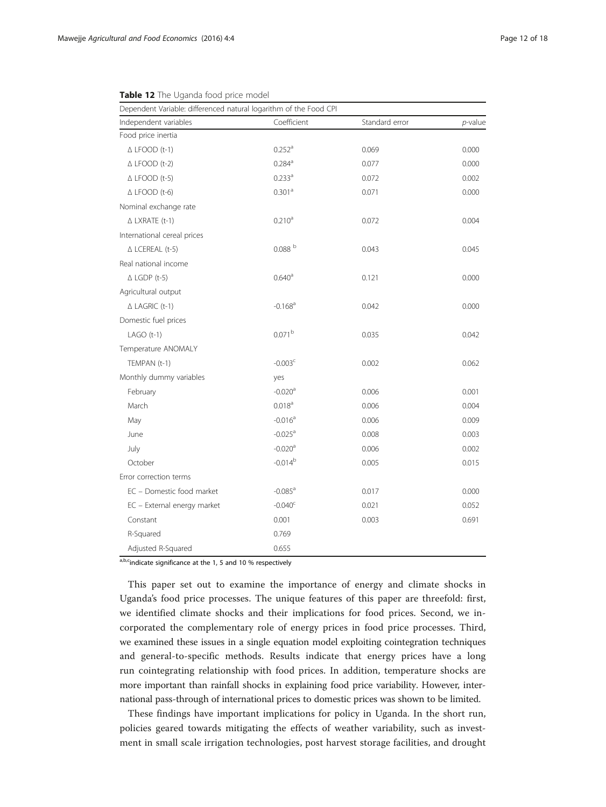| Dependent Variable: differenced natural logarithm of the Food CPI |                       |                |            |
|-------------------------------------------------------------------|-----------------------|----------------|------------|
| Independent variables                                             | Coefficient           | Standard error | $p$ -value |
| Food price inertia                                                |                       |                |            |
| $\triangle$ LFOOD (t-1)                                           | $0.252$ <sup>a</sup>  | 0.069          | 0.000      |
| $\triangle$ LFOOD (t-2)                                           | $0.284$ <sup>a</sup>  | 0.077          | 0.000      |
| $\triangle$ LFOOD (t-5)                                           | 0.233 <sup>a</sup>    | 0.072          | 0.002      |
| $\triangle$ LFOOD (t-6)                                           | 0.301 <sup>a</sup>    | 0.071          | 0.000      |
| Nominal exchange rate                                             |                       |                |            |
| $\triangle$ LXRATE (t-1)                                          | 0.210 <sup>a</sup>    | 0.072          | 0.004      |
| International cereal prices                                       |                       |                |            |
| $\triangle$ LCEREAL (t-5)                                         | 0.088 <sup>b</sup>    | 0.043          | 0.045      |
| Real national income                                              |                       |                |            |
| $\triangle$ LGDP (t-5)                                            | 0.640 <sup>a</sup>    | 0.121          | 0.000      |
| Agricultural output                                               |                       |                |            |
| $\triangle$ LAGRIC (t-1)                                          | $-0.168$ <sup>a</sup> | 0.042          | 0.000      |
| Domestic fuel prices                                              |                       |                |            |
| $LAGO(t-1)$                                                       | 0.071 <sup>b</sup>    | 0.035          | 0.042      |
| Temperature ANOMALY                                               |                       |                |            |
| TEMPAN (t-1)                                                      | $-0.003c$             | 0.002          | 0.062      |
| Monthly dummy variables                                           | yes                   |                |            |
| February                                                          | $-0.020$ <sup>a</sup> | 0.006          | 0.001      |
| March                                                             | 0.018 <sup>a</sup>    | 0.006          | 0.004      |
| May                                                               | $-0.016$ <sup>a</sup> | 0.006          | 0.009      |
| June                                                              | $-0.025$ <sup>a</sup> | 0.008          | 0.003      |
| July                                                              | $-0.020$ <sup>a</sup> | 0.006          | 0.002      |
| October                                                           | $-0.014^{b}$          | 0.005          | 0.015      |
| Error correction terms                                            |                       |                |            |
| EC - Domestic food market                                         | $-0.085$ <sup>a</sup> | 0.017          | 0.000      |
| EC - External energy market                                       | $-0.040^{\circ}$      | 0.021          | 0.052      |
| Constant                                                          | 0.001                 | 0.003          | 0.691      |
| R-Squared                                                         | 0.769                 |                |            |
| Adjusted R-Squared                                                | 0.655                 |                |            |

<span id="page-11-0"></span>Table 12 The Uganda food price model

 $\overline{a,b,c}$  indicate significance at the 1, 5 and 10 % respectively

This paper set out to examine the importance of energy and climate shocks in Uganda's food price processes. The unique features of this paper are threefold: first, we identified climate shocks and their implications for food prices. Second, we incorporated the complementary role of energy prices in food price processes. Third, we examined these issues in a single equation model exploiting cointegration techniques and general-to-specific methods. Results indicate that energy prices have a long run cointegrating relationship with food prices. In addition, temperature shocks are more important than rainfall shocks in explaining food price variability. However, international pass-through of international prices to domestic prices was shown to be limited.

These findings have important implications for policy in Uganda. In the short run, policies geared towards mitigating the effects of weather variability, such as investment in small scale irrigation technologies, post harvest storage facilities, and drought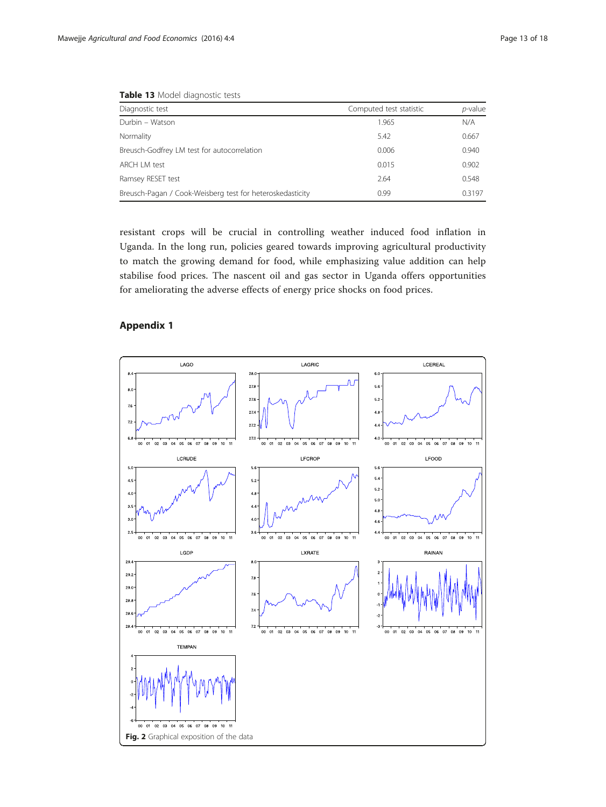| <b>LUDIC TO</b> MOUL URUITOSLIC ICSLS                     |                         |            |  |
|-----------------------------------------------------------|-------------------------|------------|--|
| Diagnostic test                                           | Computed test statistic | $p$ -value |  |
| Durbin - Watson                                           | 1.965                   | N/A        |  |
| Normality                                                 | 5.42                    | 0.667      |  |
| Breusch-Godfrey LM test for autocorrelation               | 0.006                   | 0.940      |  |
| ARCH LM test                                              | 0.015                   | 0.902      |  |
| Ramsey RESET test                                         | 2.64                    | 0.548      |  |
| Breusch-Pagan / Cook-Weisberg test for heteroskedasticity | 0.99                    | 0.3197     |  |

<span id="page-12-0"></span>Table 13 Model diagnostic tests

resistant crops will be crucial in controlling weather induced food inflation in Uganda. In the long run, policies geared towards improving agricultural productivity to match the growing demand for food, while emphasizing value addition can help stabilise food prices. The nascent oil and gas sector in Uganda offers opportunities for ameliorating the adverse effects of energy price shocks on food prices.

# Appendix 1

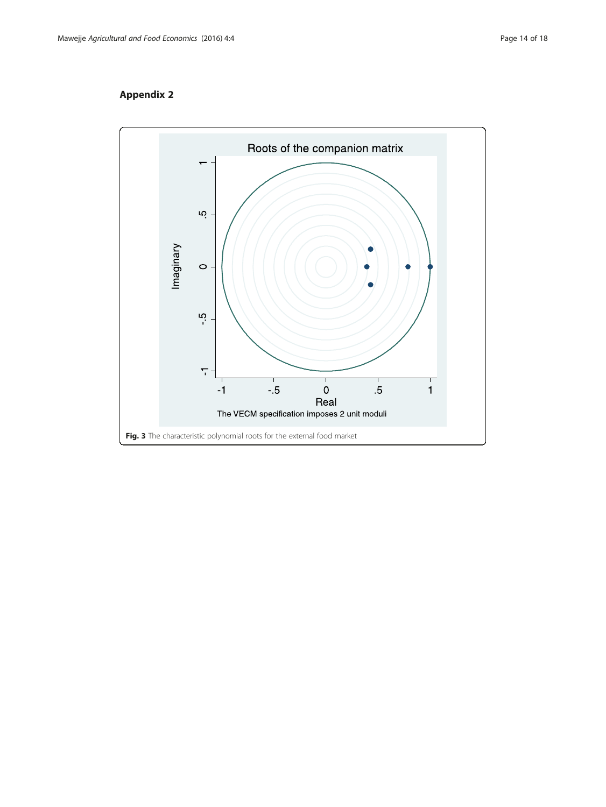# <span id="page-13-0"></span>Appendix 2

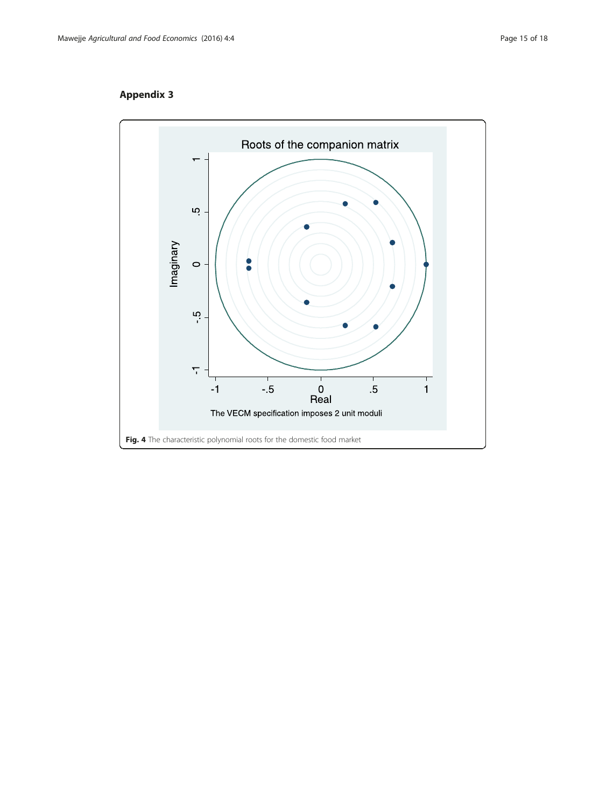# <span id="page-14-0"></span>Appendix 3

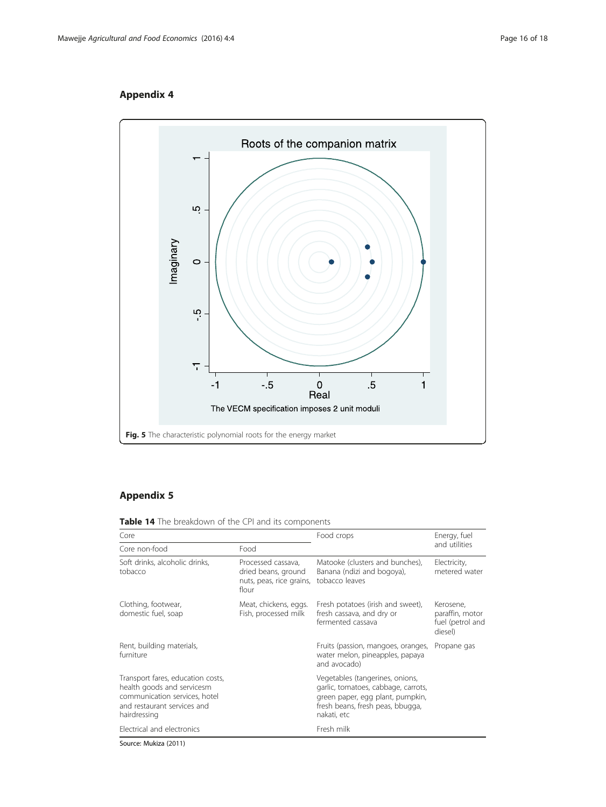# <span id="page-15-0"></span>Appendix 4



# Appendix 5

Table 14 The breakdown of the CPI and its components

| Core                                                                                                                                            |                                                                                | Food crops                                                                                                                                                    | Energy, fuel                                                |
|-------------------------------------------------------------------------------------------------------------------------------------------------|--------------------------------------------------------------------------------|---------------------------------------------------------------------------------------------------------------------------------------------------------------|-------------------------------------------------------------|
| Core non-food                                                                                                                                   | Food                                                                           |                                                                                                                                                               | and utilities                                               |
| Soft drinks, alcoholic drinks,<br>tobacco                                                                                                       | Processed cassava,<br>dried beans, ground<br>nuts, peas, rice grains,<br>flour | Matooke (clusters and bunches),<br>Banana (ndizi and bogoya),<br>tobacco leaves                                                                               | Electricity,<br>metered water                               |
| Clothing, footwear,<br>domestic fuel, soap                                                                                                      | Meat, chickens, eggs.<br>Fish, processed milk                                  | Fresh potatoes (irish and sweet),<br>fresh cassava, and dry or<br>fermented cassava                                                                           | Kerosene,<br>paraffin, motor<br>fuel (petrol and<br>diesel) |
| Rent, building materials,<br>furniture                                                                                                          |                                                                                | Fruits (passion, mangoes, oranges,<br>water melon, pineapples, papaya<br>and avocado)                                                                         | Propane gas                                                 |
| Transport fares, education costs,<br>health goods and servicesm<br>communication services, hotel<br>and restaurant services and<br>hairdressing |                                                                                | Vegetables (tangerines, onions,<br>garlic, tomatoes, cabbage, carrots,<br>green paper, egg plant, pumpkin,<br>fresh beans, fresh peas, bbugga,<br>nakati, etc |                                                             |
| Electrical and electronics                                                                                                                      |                                                                                | Fresh milk                                                                                                                                                    |                                                             |
| $C_{\text{2}}$ , $\frac{1}{2}$ , $\frac{1}{2}$ , $\frac{1}{2}$ , $\frac{1}{2}$ , $\frac{1}{2}$ , $\frac{1}{2}$ , $\frac{1}{2}$                  |                                                                                |                                                                                                                                                               |                                                             |

Source: Mukiza ([2011](#page-16-0))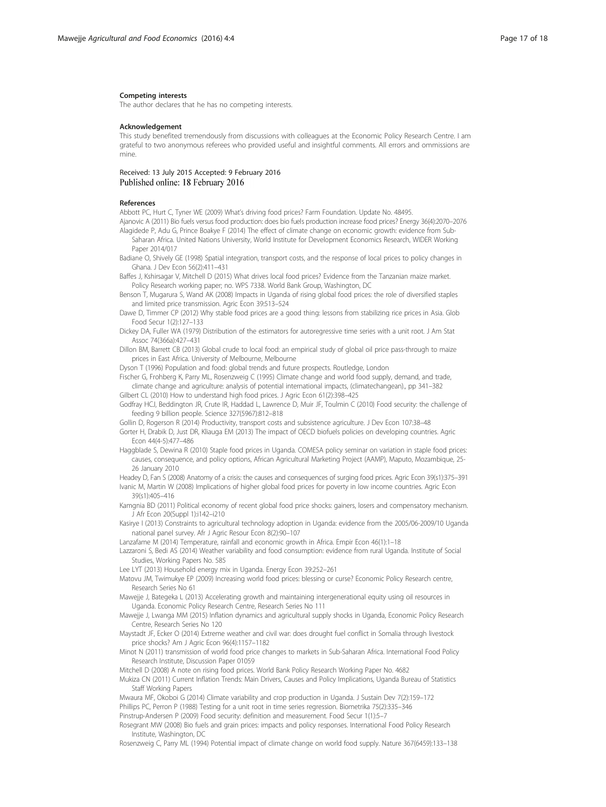#### <span id="page-16-0"></span>Competing interests

The author declares that he has no competing interests.

#### Acknowledgement

This study benefited tremendously from discussions with colleagues at the Economic Policy Research Centre. I am grateful to two anonymous referees who provided useful and insightful comments. All errors and ommissions are mine.

#### Received: 13 July 2015 Accepted: 9 February 2016 Published online: 18 February 2016

#### References

Abbott PC, Hurt C, Tyner WE (2009) What's driving food prices? Farm Foundation. Update No. 48495.

Ajanovic A (2011) Bio fuels versus food production: does bio fuels production increase food prices? Energy 36(4):2070–2076 Alagidede P, Adu G, Prince Boakye F (2014) The effect of climate change on economic growth: evidence from Sub-

- Saharan Africa. United Nations University, World Institute for Development Economics Research, WIDER Working Paper 2014/017
- Badiane O, Shively GE (1998) Spatial integration, transport costs, and the response of local prices to policy changes in Ghana. J Dev Econ 56(2):411–431

Baffes J, Kshirsagar V, Mitchell D (2015) What drives local food prices? Evidence from the Tanzanian maize market. Policy Research working paper; no. WPS 7338. World Bank Group, Washington, DC

Benson T, Mugarura S, Wand AK (2008) Impacts in Uganda of rising global food prices: the role of diversified staples and limited price transmission. Agric Econ 39:513–524

Dawe D, Timmer CP (2012) Why stable food prices are a good thing: lessons from stabilizing rice prices in Asia. Glob Food Secur 1(2):127–133

Dickey DA, Fuller WA (1979) Distribution of the estimators for autoregressive time series with a unit root. J Am Stat Assoc 74(366a):427–431

Dillon BM, Barrett CB (2013) Global crude to local food: an empirical study of global oil price pass-through to maize prices in East Africa. University of Melbourne, Melbourne

Dyson T (1996) Population and food: global trends and future prospects. Routledge, London

Fischer G, Frohberg K, Parry ML, Rosenzweig C (1995) Climate change and world food supply, demand, and trade, climate change and agriculture: analysis of potential international impacts, (climatechangean)., pp 341–382 Gilbert CL (2010) How to understand high food prices. J Agric Econ 61(2):398–425

Godfray HCJ, Beddington JR, Crute IR, Haddad L, Lawrence D, Muir JF, Toulmin C (2010) Food security: the challenge of feeding 9 billion people. Science 327(5967):812–818

Gollin D, Rogerson R (2014) Productivity, transport costs and subsistence agriculture. J Dev Econ 107:38–48

Gorter H, Drabik D, Just DR, Kliauga EM (2013) The impact of OECD biofuels policies on developing countries. Agric Econ 44(4-5):477–486

Haggblade S, Dewina R (2010) Staple food prices in Uganda. COMESA policy seminar on variation in staple food prices: causes, consequence, and policy options, African Agricultural Marketing Project (AAMP), Maputo, Mozambique, 25- 26 January 2010

Headey D, Fan S (2008) Anatomy of a crisis: the causes and consequences of surging food prices. Agric Econ 39(s1):375–391 Ivanic M, Martin W (2008) Implications of higher global food prices for poverty in low income countries. Agric Econ 39(s1):405–416

Kamgnia BD (2011) Political economy of recent global food price shocks: gainers, losers and compensatory mechanism. J Afr Econ 20(Suppl 1):i142–i210

Kasirye I (2013) Constraints to agricultural technology adoption in Uganda: evidence from the 2005/06-2009/10 Uganda national panel survey. Afr J Agric Resour Econ 8(2):90–107

Lanzafame M (2014) Temperature, rainfall and economic growth in Africa. Empir Econ 46(1):1–18

Lazzaroni S, Bedi AS (2014) Weather variability and food consumption: evidence from rural Uganda. Institute of Social Studies, Working Papers No. 585

Lee LYT (2013) Household energy mix in Uganda. Energy Econ 39:252–261

Matovu JM, Twimukye EP (2009) Increasing world food prices: blessing or curse? Economic Policy Research centre, Research Series No 61

Mawejje J, Bategeka L (2013) Accelerating growth and maintaining intergenerational equity using oil resources in Uganda. Economic Policy Research Centre, Research Series No 111

Mawejje J, Lwanga MM (2015) Inflation dynamics and agricultural supply shocks in Uganda, Economic Policy Research Centre, Research Series No 120

Maystadt JF, Ecker O (2014) Extreme weather and civil war: does drought fuel conflict in Somalia through livestock price shocks? Am J Agric Econ 96(4):1157–1182

Minot N (2011) transmission of world food price changes to markets in Sub-Saharan Africa. International Food Policy Research Institute, Discussion Paper 01059

Mitchell D (2008) A note on rising food prices. World Bank Policy Research Working Paper No. 4682

Mukiza CN (2011) Current Inflation Trends: Main Drivers, Causes and Policy Implications, Uganda Bureau of Statistics Staff Working Papers

Mwaura MF, Okoboi G (2014) Climate variability and crop production in Uganda. J Sustain Dev 7(2):159–172 Phillips PC, Perron P (1988) Testing for a unit root in time series regression. Biometrika 75(2):335–346 Pinstrup-Andersen P (2009) Food security: definition and measurement. Food Secur 1(1):5–7

Rosegrant MW (2008) Bio fuels and grain prices: impacts and policy responses. International Food Policy Research Institute, Washington, DC

Rosenzweig C, Parry ML (1994) Potential impact of climate change on world food supply. Nature 367(6459):133–138